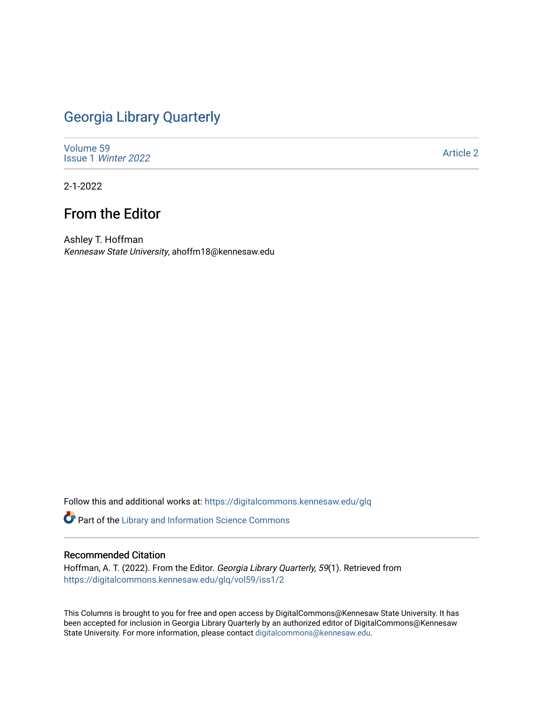## [Georgia Library Quarterly](https://digitalcommons.kennesaw.edu/glq)

[Volume 59](https://digitalcommons.kennesaw.edu/glq/vol59) Issue 1 [Winter 2022](https://digitalcommons.kennesaw.edu/glq/vol59/iss1) 

[Article 2](https://digitalcommons.kennesaw.edu/glq/vol59/iss1/2) 

2-1-2022

## From the Editor

Ashley T. Hoffman Kennesaw State University, ahoffm18@kennesaw.edu

Follow this and additional works at: [https://digitalcommons.kennesaw.edu/glq](https://digitalcommons.kennesaw.edu/glq?utm_source=digitalcommons.kennesaw.edu%2Fglq%2Fvol59%2Fiss1%2F2&utm_medium=PDF&utm_campaign=PDFCoverPages) 

**P** Part of the Library and Information Science Commons

## Recommended Citation

Hoffman, A. T. (2022). From the Editor. Georgia Library Quarterly, 59(1). Retrieved from [https://digitalcommons.kennesaw.edu/glq/vol59/iss1/2](https://digitalcommons.kennesaw.edu/glq/vol59/iss1/2?utm_source=digitalcommons.kennesaw.edu%2Fglq%2Fvol59%2Fiss1%2F2&utm_medium=PDF&utm_campaign=PDFCoverPages) 

This Columns is brought to you for free and open access by DigitalCommons@Kennesaw State University. It has been accepted for inclusion in Georgia Library Quarterly by an authorized editor of DigitalCommons@Kennesaw State University. For more information, please contact [digitalcommons@kennesaw.edu.](mailto:digitalcommons@kennesaw.edu)